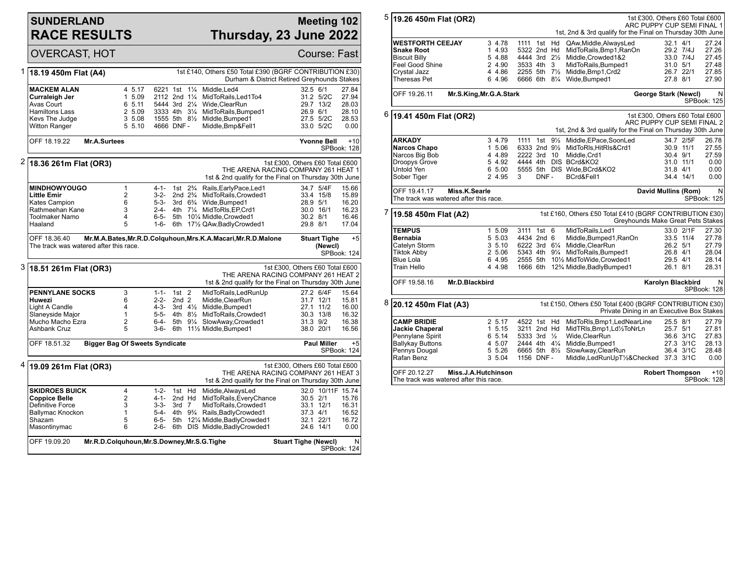## **SUNDERLAND RACE RESULTS**

## **Meeting 102 Thursday, 23 June 2022**

|                                                    | <b>OVERCAST, HOT</b>                                                                                                                                     |                                                          |                                                                                           |                                  |                                   |                                                                                                                                                                                                |                                  |                                                                           | Course: Fast                                                  |
|----------------------------------------------------|----------------------------------------------------------------------------------------------------------------------------------------------------------|----------------------------------------------------------|-------------------------------------------------------------------------------------------|----------------------------------|-----------------------------------|------------------------------------------------------------------------------------------------------------------------------------------------------------------------------------------------|----------------------------------|---------------------------------------------------------------------------|---------------------------------------------------------------|
| 1                                                  | 1st £140, Others £50 Total £390 (BGRF CONTRIBUTION £30)<br>18.19 450m Flat (A4)<br>Durham & District Retired Greyhounds Stakes                           |                                                          |                                                                                           |                                  |                                   |                                                                                                                                                                                                |                                  |                                                                           |                                                               |
|                                                    | <b>MACKEM ALAN</b><br>Curraleigh Jer<br>Avas Court<br><b>Hamiltons Lass</b><br>Kevs The Judge<br><b>Witton Ranger</b>                                    | 4 5.17<br>1 5.09<br>6 5.11<br>2 5.09<br>3 5.08<br>5 5.10 | 6221 1st<br>2112 2nd 11/4<br>5444 3rd 21/4<br>3333 4th 31/4<br>1555 5th 81/2<br>4666 DNF- |                                  | $1\frac{1}{4}$                    | Middle.Led4<br>MidToRails, Led1To4<br>Wide, ClearRun<br>MidToRails, Bumped1<br>Middle, Bumped1<br>Middle, Bmp&Fell1                                                                            | 32.5 6/1                         | 31.2 5/2C<br>29.7 13/2<br>26.9 6/1<br>27.5 5/2C<br>33.0 5/2C              | 27.84<br>27.94<br>28.03<br>28.10<br>28.53<br>0.00             |
| OFF 18.19.22<br>Mr.A.Surtees<br><b>Yvonne Bell</b> |                                                                                                                                                          |                                                          |                                                                                           |                                  |                                   | $+10$<br>SPBook: 128                                                                                                                                                                           |                                  |                                                                           |                                                               |
|                                                    | $2 $ 18.36 261m Flat (OR3)                                                                                                                               |                                                          |                                                                                           |                                  |                                   | THE ARENA RACING COMPANY 261 HEAT 1<br>1st & 2nd qualify for the Final on Thursday 30th June                                                                                                   | 1st £300, Others £60 Total £600  |                                                                           |                                                               |
|                                                    | <b>MINDHOWYOUGO</b><br><b>Little Emir</b><br><b>Kates Campion</b><br>Rathmeehan Kane<br><b>Toolmaker Namo</b><br>Haaland                                 | 1<br>$\overline{2}$<br>6<br>3<br>$\overline{4}$<br>5     | $4 - 1 -$<br>$3-2-$<br>$5 - 3 -$<br>$2 - 4 -$<br>$6 - 5 -$<br>$1 - 6 -$                   | 1st<br>2nd $2\frac{3}{4}$<br>6th | $2\frac{3}{4}$                    | Rails, Early Pace, Led1<br>MidToRails, Crowded1<br>3rd 6 <sup>3</sup> / <sub>4</sub> Wide, Bumped 1<br>4th 71/4 MidToRIs, EP, Crd1<br>5th 101/4 Middle, Crowded1<br>171/2 QAw, Badly Crowded 1 | 28.9 5/1<br>30.2 8/1<br>29.8 8/1 | 34.7 5/4F<br>33.4 15/8<br>30.0 16/1                                       | 15.66<br>15.89<br>16.20<br>16.23<br>16.46<br>17.04            |
|                                                    | OFF 18.36.40<br>The track was watered after this race.                                                                                                   |                                                          |                                                                                           |                                  |                                   | Mr.M.A.Bates, Mr.R.D.Colguhoun, Mrs.K.A.Macari, Mr.R.D.Malone                                                                                                                                  |                                  | <b>Stuart Tighe</b><br>(Newcl)                                            | $+5$<br>SPBook: 124                                           |
| 3                                                  | 1st £300, Others £60 Total £600<br>18.51 261m Flat (OR3)<br>THE ARENA RACING COMPANY 261 HEAT 2<br>1st & 2nd qualify for the Final on Thursday 30th June |                                                          |                                                                                           |                                  |                                   |                                                                                                                                                                                                |                                  |                                                                           |                                                               |
|                                                    | <b>PENNYLANE SOCKS</b><br>Huwezi<br>Light A Candle<br>Slaneyside Major<br>Mucho Macho Ezra<br>Ashbank Cruz                                               | 3<br>6<br>4<br>1<br>$\overline{2}$<br>5                  | $1 - 1 -$<br>$2 - 2 -$<br>4-3-<br>$5 - 5 -$<br>6-4-<br>$3-6-$                             | $1st$ 2<br>2nd <sub>2</sub>      |                                   | MidToRails, LedRunUp<br>Middle, ClearRun<br>3rd 41/ <sub>2</sub> Middle, Bumped1<br>4th 81/ <sub>2</sub> MidToRails.Crowded1<br>5th 91/4 SlowAway, Crowded1<br>6th 111/2 Middle, Bumped1       |                                  | 27.2 6/4F<br>31.7 12/1<br>27.1 11/2<br>30.3 13/8<br>31.3 9/2<br>38.0 20/1 | 15.64<br>15.81<br>16.00<br>16.32<br>16.38<br>16.56            |
|                                                    | OFF 18.51.32<br><b>Bigger Bag Of Sweets Syndicate</b><br><b>Paul Miller</b><br>SPBook: 124                                                               |                                                          |                                                                                           |                                  |                                   |                                                                                                                                                                                                |                                  | $+5$                                                                      |                                                               |
|                                                    | $4 $ 19.09 261m Flat (OR3)                                                                                                                               |                                                          |                                                                                           |                                  |                                   | THE ARENA RACING COMPANY 261 HEAT 3<br>1st & 2nd qualify for the Final on Thursday 30th June                                                                                                   | 1st £300, Others £60 Total £600  |                                                                           |                                                               |
|                                                    | <b>SKIDROES BUICK</b><br><b>Coppice Belle</b><br>Definitive Force<br>Ballymac Knockon<br>Shazam<br>Masontinymac                                          | 4<br>2<br>3<br>$\mathbf{1}$<br>5<br>6                    | $1 - 2 -$<br>4-1-<br>$3 - 3 -$<br>$5-4-$<br>$6 - 5 -$<br>$2 - 6 -$                        | 1st Hd<br>2nd Hd<br>$3rd$ $7$    | 4th 9 <sup>3</sup> / <sub>4</sub> | Middle, AlwaysLed<br>MidToRails, EveryChance<br>MidToRails, Crowded1<br>Rails, Badly Crowded 1<br>5th 121/4 Middle, Badly Crowded1<br>6th DIS Middle, Badly Crowded1                           | 30.5 2/1<br>37.3 4/1             | 33.1 12/1<br>32.1 22/1<br>24.6 14/1                                       | 32.0 10/11F 15.74<br>15.76<br>16.31<br>16.52<br>16.72<br>0.00 |
|                                                    | OFF 19.09.20<br>Mr.R.D.Colquhoun, Mr.S.Downey, Mr.S.G. Tighe                                                                                             |                                                          |                                                                                           |                                  |                                   |                                                                                                                                                                                                | <b>Stuart Tighe (Newcl)</b>      |                                                                           | N<br>SPBook: 124                                              |

| 5 |                                                                                                                                                      | 1st £300, Others £60 Total £600<br>19.26 450m Flat (OR2)<br>ARC PUPPY CUP SEMI FINAL 1               |                            |                                                    |                     |           |                  |  |
|---|------------------------------------------------------------------------------------------------------------------------------------------------------|------------------------------------------------------------------------------------------------------|----------------------------|----------------------------------------------------|---------------------|-----------|------------------|--|
|   |                                                                                                                                                      | 1st, 2nd & 3rd qualify for the Final on Thursday 30th June                                           |                            |                                                    |                     |           |                  |  |
|   | <b>WESTFORTH CEEJAY</b><br><b>Snake Root</b>                                                                                                         | 3 4.78<br>1 4.93                                                                                     | 1111 1st Hd<br>5322 2nd Hd | QAw, Middle, Always Led<br>MidToRails, Bmp1, RanOn | 32.1 4/1            | 29.2 7/4J | 27.24<br>27.26   |  |
|   | <b>Biscuit Billy</b>                                                                                                                                 | 5 4.88                                                                                               | 4444 3rd 21/2              | Middle, Crowded1&2                                 |                     | 33.0 7/4J | 27.45            |  |
|   | Feel Good Shine                                                                                                                                      | 2 4.90                                                                                               | 3533 4th 3                 | MidToRails, Bumped1                                | 31.0 5/1            |           | 27.48            |  |
|   | Crystal Jazz                                                                                                                                         | 4 4.86                                                                                               | 2255 5th 71/2              | Middle, Bmp1, Crd2                                 |                     | 26.7 22/1 | 27.85            |  |
|   | Theresas Pet                                                                                                                                         | 6 4.96                                                                                               |                            | 6666 6th 81/4 Wide, Bumped1                        | 27.8 8/1            |           | 27.90            |  |
|   | OFF 19.26.11<br>Mr.S.King, Mr.G.A.Stark<br>George Stark (Newcl)<br>SPBook: 125                                                                       |                                                                                                      |                            |                                                    |                     |           |                  |  |
| 6 | 1st £300, Others £60 Total £600<br>19.41 450m Flat (OR2)<br>ARC PUPPY CUP SEMI FINAL 2<br>1st, 2nd & 3rd qualify for the Final on Thursday 30th June |                                                                                                      |                            |                                                    |                     |           |                  |  |
|   | <b>ARKADY</b>                                                                                                                                        | 3 4.79                                                                                               |                            | 1111 1st 91/2 Middle, EPace, SoonLed               |                     | 34.7 2/5F | 26.78            |  |
|   | <b>Narcos Chapo</b>                                                                                                                                  | 1 5.06                                                                                               |                            | 6333 2nd 91/2 MidToRIs.HitRIs&Crd1                 |                     | 30.9 11/1 | 27.55            |  |
|   | Narcos Big Bob                                                                                                                                       | 4 4.89                                                                                               | 2222 3rd 10                | Middle, Crd1                                       | 30.4 9/1            |           | 27.59            |  |
|   | <b>Droopys Grove</b>                                                                                                                                 | 5 4.92                                                                                               |                            | 4444 4th DIS BCrd&KO2                              |                     | 31.0 11/1 | 0.00             |  |
|   | Untold Yen                                                                                                                                           | 6 5.00                                                                                               |                            | 5555 5th DIS Wide.BCrd&KO2                         | 31.8 4/1            |           | 0.00             |  |
|   | Sober Tiger                                                                                                                                          | 2 4.95                                                                                               | DNF-<br>3                  | BCrd&Fell1                                         |                     | 34.4 14/1 | 0.00             |  |
|   | OFF 19.41.17                                                                                                                                         | Miss.K.Searle<br>The track was watered after this race.                                              |                            |                                                    | David Mullins (Rom) |           | N<br>SPBook: 125 |  |
| 7 | 1st £160, Others £50 Total £410 (BGRF CONTRIBUTION £30)<br>19.58 450m Flat (A2)<br>Greyhounds Make Great Pets Stakes                                 |                                                                                                      |                            |                                                    |                     |           |                  |  |
|   | <b>TEMPUS</b>                                                                                                                                        | 1 5.09                                                                                               | 3111 1st 6                 | MidToRails.Led1                                    |                     | 33.0 2/1F | 27.30            |  |
|   | Bernabia                                                                                                                                             | 5 5.03                                                                                               | 4434 2nd 6                 | Middle, Bumped 1, RanOn                            |                     | 33.5 11/4 | 27.78            |  |
|   | Catelyn Storm                                                                                                                                        | 3, 5.10                                                                                              |                            | 6222 3rd 61/4 Middle, ClearRun                     | 26.2 5/1            |           | 27.79            |  |
|   | <b>Tiktok Abby</b>                                                                                                                                   | 2 5.06                                                                                               |                            | 5343 4th 91/4 MidToRails, Bumped1                  | 26.8 4/1            |           | 28.04            |  |
|   | <b>Blue Lola</b>                                                                                                                                     | 6 4.95                                                                                               |                            | 2555 5th 101/2 MidToWide.Crowded1                  | 29.5 4/1            |           | 28.14            |  |
|   | Train Hello                                                                                                                                          | 4 4.98                                                                                               |                            | 1666 6th 12% Middle, Badly Bumped 1                | 26.1 8/1            |           | 28.31            |  |
|   | OFF 19.58.16                                                                                                                                         | Mr.D.Blackbird<br>Karolyn Blackbird<br>SPBook: 128                                                   |                            |                                                    |                     |           |                  |  |
| 8 | 20.12 450m Flat (A3)                                                                                                                                 | 1st £150, Others £50 Total £400 (BGRF CONTRIBUTION £30)<br>Private Dining in an Executive Box Stakes |                            |                                                    |                     |           |                  |  |
|   | <b>CAMP BRIDIE</b>                                                                                                                                   | 2 5.17                                                                                               | 4522 1st Hd                | MidToRIs, Bmp1, LedNearLine                        | 25.5 8/1            |           | 27.79            |  |
|   | <b>Jackie Chaperal</b>                                                                                                                               | 1 5.15                                                                                               | 3211 2nd Hd                | MidTRIs, Bmp1, Ld1/2ToNrLn                         | 25.7 5/1            |           | 27.81            |  |
|   | Pennylane Spirit                                                                                                                                     | 6 5.14                                                                                               | 5333 3rd $\frac{1}{2}$     | Wide, ClearRun                                     |                     | 36.6 3/1C | 27.83            |  |
|   | <b>Ballykay Buttons</b>                                                                                                                              | 4 5.07                                                                                               | 2444 4th 41/4              | Middle, Bumped1                                    |                     | 27.3 3/1C | 28.13            |  |
|   | Pennys Dougal                                                                                                                                        | 5 5.26                                                                                               | 6665 5th 81/2              | SlowAway, ClearRun                                 |                     | 36.4 3/1C | 28.48            |  |
|   | Rafan Benz                                                                                                                                           | 3 5.04                                                                                               | 1156 DNF-                  | Middle, Led Run Up T1/2& Checked 37.3 3/1C         |                     |           | 0.00             |  |
|   | OFF 20.12.27                                                                                                                                         | Miss.J.A.Hutchinson<br>The track was watered after this race.                                        |                            | $+10$<br><b>Robert Thompson</b><br>SPBook: 128     |                     |           |                  |  |